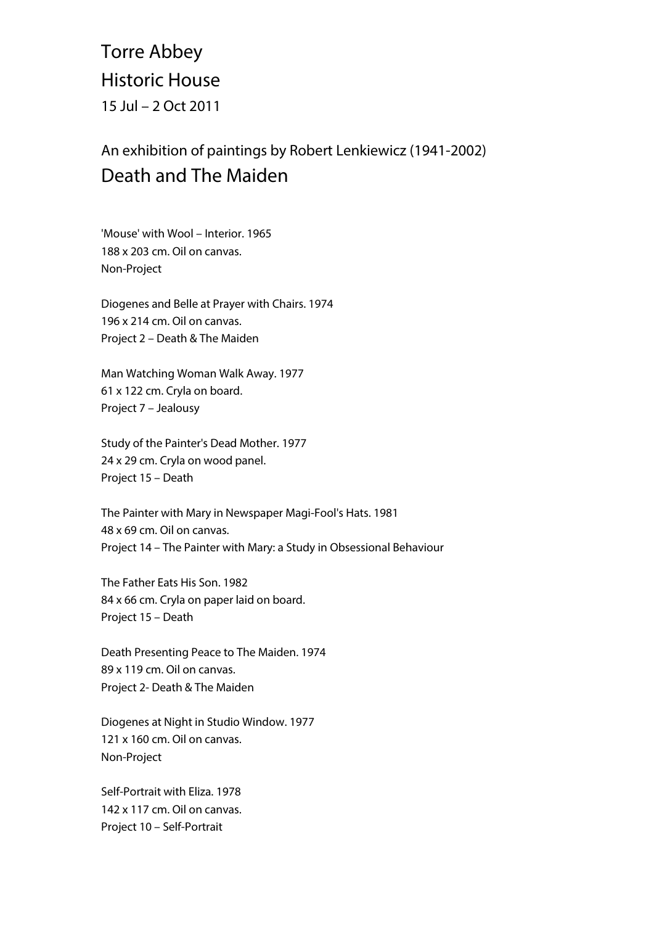## Torre Abbey Historic House 15 Jul – 2 Oct 2011

## An exhibition of paintings by Robert Lenkiewicz (1941-2002) Death and The Maiden

'Mouse' with Wool – Interior. 1965 188 x 203 cm. Oil on canvas. Non-Project

Diogenes and Belle at Prayer with Chairs. 1974 196 x 214 cm. Oil on canvas. Project 2 – Death & The Maiden

Man Watching Woman Walk Away. 1977 61 x 122 cm. Cryla on board. Project 7 – Jealousy

Study of the Painter's Dead Mother. 1977 24 x 29 cm. Cryla on wood panel. Project 15 – Death

The Painter with Mary in Newspaper Magi-Fool's Hats. 1981 48 x 69 cm. Oil on canvas. Project 14 – The Painter with Mary: a Study in Obsessional Behaviour

The Father Eats His Son. 1982 84 x 66 cm. Cryla on paper laid on board. Project 15 – Death

Death Presenting Peace to The Maiden. 1974 89 x 119 cm. Oil on canvas. Project 2- Death & The Maiden

Diogenes at Night in Studio Window. 1977 121 x 160 cm. Oil on canvas. Non-Project

Self-Portrait with Eliza. 1978 142 x 117 cm. Oil on canvas. Project 10 – Self-Portrait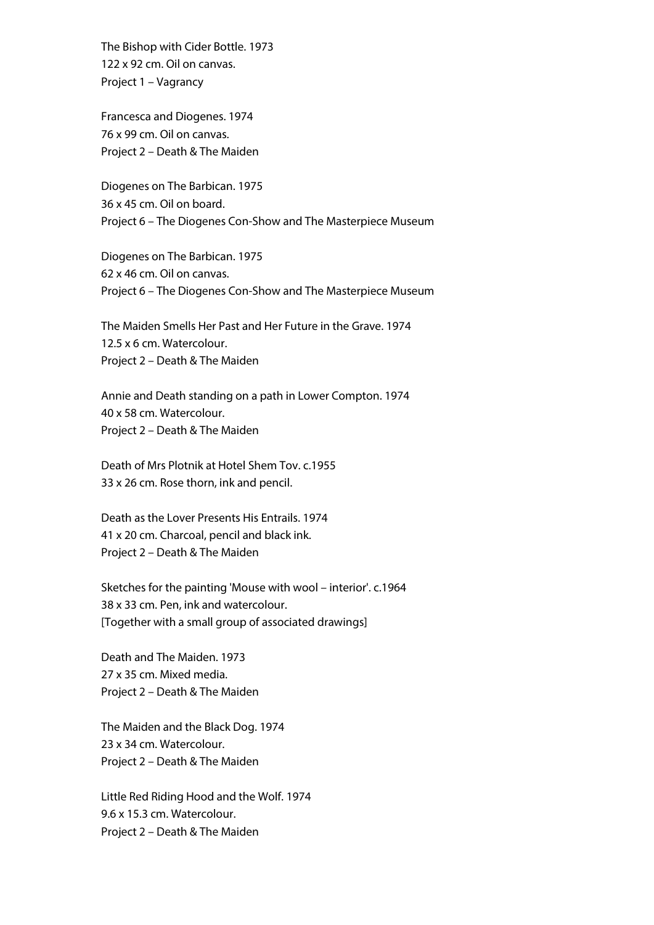The Bishop with Cider Bottle. 1973 122 x 92 cm. Oil on canvas. Project 1 – Vagrancy

Francesca and Diogenes. 1974 76 x 99 cm. Oil on canvas. Project 2 – Death & The Maiden

Diogenes on The Barbican. 1975 36 x 45 cm. Oil on board. Project 6 – The Diogenes Con-Show and The Masterpiece Museum

Diogenes on The Barbican. 1975 62 x 46 cm. Oil on canvas. Project 6 – The Diogenes Con-Show and The Masterpiece Museum

The Maiden Smells Her Past and Her Future in the Grave. 1974 12.5 x 6 cm. Watercolour. Project 2 – Death & The Maiden

Annie and Death standing on a path in Lower Compton. 1974 40 x 58 cm. Watercolour. Project 2 – Death & The Maiden

Death of Mrs Plotnik at Hotel Shem Tov. c.1955 33 x 26 cm. Rose thorn, ink and pencil.

Death as the Lover Presents His Entrails. 1974 41 x 20 cm. Charcoal, pencil and black ink. Project 2 – Death & The Maiden

Sketches for the painting 'Mouse with wool – interior'. c.1964 38 x 33 cm. Pen, ink and watercolour. [Together with a small group of associated drawings]

Death and The Maiden. 1973 27 x 35 cm. Mixed media. Project 2 – Death & The Maiden

The Maiden and the Black Dog. 1974 23 x 34 cm. Watercolour. Project 2 – Death & The Maiden

Little Red Riding Hood and the Wolf. 1974 9.6 x 15.3 cm. Watercolour. Project 2 – Death & The Maiden